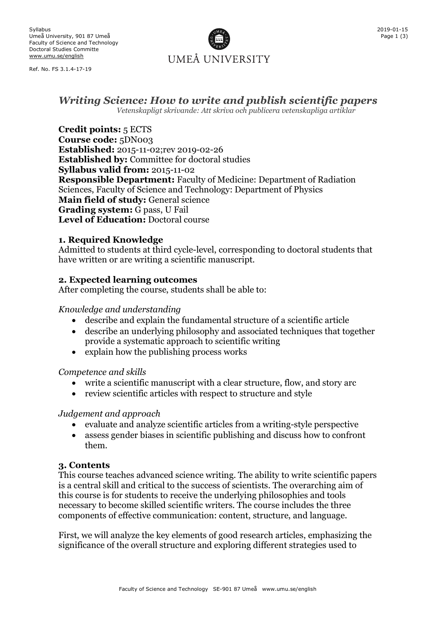Ref. No. FS 3.1.4-17-19



# *Writing Science: How to write and publish scientific papers*

*Vetenskapligt skrivande: Att skriva och publicera vetenskapliga artiklar*

**Credit points:** 5 ECTS **Course code:** 5DN003 **Established:** 2015-11-02;rev 2019-02-26 **Established by:** Committee for doctoral studies **Syllabus valid from:** 2015-11-02 **Responsible Department:** Faculty of Medicine: Department of Radiation Sciences, Faculty of Science and Technology: Department of Physics **Main field of study:** General science **Grading system:** G pass, U Fail **Level of Education:** Doctoral course

### **1. Required Knowledge**

Admitted to students at third cycle-level, corresponding to doctoral students that have written or are writing a scientific manuscript.

# **2. Expected learning outcomes**

After completing the course, students shall be able to:

### *Knowledge and understanding*

- describe and explain the fundamental structure of a scientific article
- describe an underlying philosophy and associated techniques that together provide a systematic approach to scientific writing
- explain how the publishing process works

### *Competence and skills*

- write a scientific manuscript with a clear structure, flow, and story arc
- review scientific articles with respect to structure and style

### *Judgement and approach*

- evaluate and analyze scientific articles from a writing-style perspective
- assess gender biases in scientific publishing and discuss how to confront them.

### **3. Contents**

This course teaches advanced science writing. The ability to write scientific papers is a central skill and critical to the success of scientists. The overarching aim of this course is for students to receive the underlying philosophies and tools necessary to become skilled scientific writers. The course includes the three components of effective communication: content, structure, and language.

First, we will analyze the key elements of good research articles, emphasizing the significance of the overall structure and exploring different strategies used to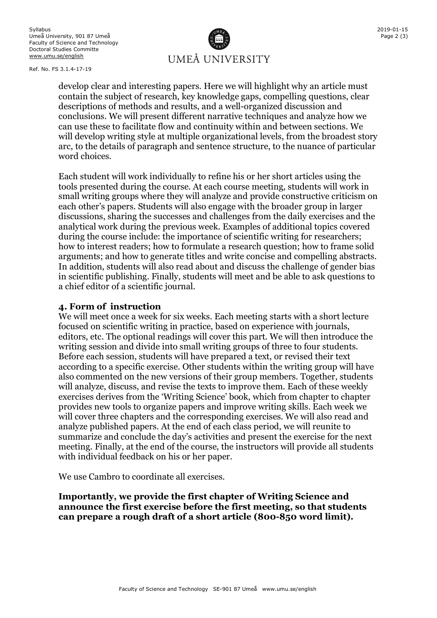2019-01-15 Page 2 (3)

Ref. No. FS 3.1.4-17-19

UMEÅ UNIVERSITY

develop clear and interesting papers. Here we will highlight why an article must contain the subject of research, key knowledge gaps, compelling questions, clear descriptions of methods and results, and a well-organized discussion and conclusions. We will present different narrative techniques and analyze how we can use these to facilitate flow and continuity within and between sections. We will develop writing style at multiple organizational levels, from the broadest story arc, to the details of paragraph and sentence structure, to the nuance of particular word choices.

Each student will work individually to refine his or her short articles using the tools presented during the course. At each course meeting, students will work in small writing groups where they will analyze and provide constructive criticism on each other's papers. Students will also engage with the broader group in larger discussions, sharing the successes and challenges from the daily exercises and the analytical work during the previous week. Examples of additional topics covered during the course include: the importance of scientific writing for researchers; how to interest readers; how to formulate a research question; how to frame solid arguments; and how to generate titles and write concise and compelling abstracts. In addition, students will also read about and discuss the challenge of gender bias in scientific publishing. Finally, students will meet and be able to ask questions to a chief editor of a scientific journal.

#### **4. Form of instruction**

We will meet once a week for six weeks. Each meeting starts with a short lecture focused on scientific writing in practice, based on experience with journals, editors, etc. The optional readings will cover this part. We will then introduce the writing session and divide into small writing groups of three to four students. Before each session, students will have prepared a text, or revised their text according to a specific exercise. Other students within the writing group will have also commented on the new versions of their group members. Together, students will analyze, discuss, and revise the texts to improve them. Each of these weekly exercises derives from the 'Writing Science' book, which from chapter to chapter provides new tools to organize papers and improve writing skills. Each week we will cover three chapters and the corresponding exercises. We will also read and analyze published papers. At the end of each class period, we will reunite to summarize and conclude the day's activities and present the exercise for the next meeting. Finally, at the end of the course, the instructors will provide all students with individual feedback on his or her paper.

We use Cambro to coordinate all exercises.

**Importantly, we provide the first chapter of Writing Science and announce the first exercise before the first meeting, so that students can prepare a rough draft of a short article (800-850 word limit).**